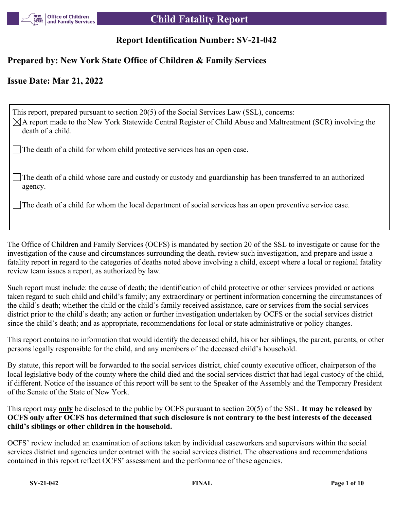

# **Report Identification Number: SV-21-042**

## **Prepared by: New York State Office of Children & Family Services**

# **Issue Date: Mar 21, 2022**

This report, prepared pursuant to section 20(5) of the Social Services Law (SSL), concerns:  $\boxtimes$ A report made to the New York Statewide Central Register of Child Abuse and Maltreatment (SCR) involving the death of a child. The death of a child for whom child protective services has an open case.

The death of a child whose care and custody or custody and guardianship has been transferred to an authorized agency.

The death of a child for whom the local department of social services has an open preventive service case.

The Office of Children and Family Services (OCFS) is mandated by section 20 of the SSL to investigate or cause for the investigation of the cause and circumstances surrounding the death, review such investigation, and prepare and issue a fatality report in regard to the categories of deaths noted above involving a child, except where a local or regional fatality review team issues a report, as authorized by law.

Such report must include: the cause of death; the identification of child protective or other services provided or actions taken regard to such child and child's family; any extraordinary or pertinent information concerning the circumstances of the child's death; whether the child or the child's family received assistance, care or services from the social services district prior to the child's death; any action or further investigation undertaken by OCFS or the social services district since the child's death; and as appropriate, recommendations for local or state administrative or policy changes.

This report contains no information that would identify the deceased child, his or her siblings, the parent, parents, or other persons legally responsible for the child, and any members of the deceased child's household.

By statute, this report will be forwarded to the social services district, chief county executive officer, chairperson of the local legislative body of the county where the child died and the social services district that had legal custody of the child, if different. Notice of the issuance of this report will be sent to the Speaker of the Assembly and the Temporary President of the Senate of the State of New York.

This report may **only** be disclosed to the public by OCFS pursuant to section 20(5) of the SSL. **It may be released by OCFS only after OCFS has determined that such disclosure is not contrary to the best interests of the deceased child's siblings or other children in the household.**

OCFS' review included an examination of actions taken by individual caseworkers and supervisors within the social services district and agencies under contract with the social services district. The observations and recommendations contained in this report reflect OCFS' assessment and the performance of these agencies.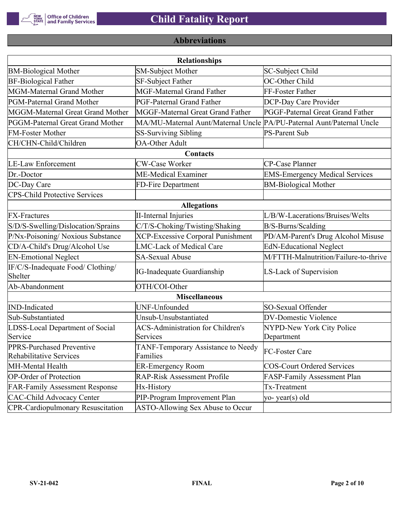

# **Abbreviations**

| <b>Relationships</b>                                 |                                                                       |                                       |  |  |
|------------------------------------------------------|-----------------------------------------------------------------------|---------------------------------------|--|--|
| <b>BM-Biological Mother</b>                          | <b>SM-Subject Mother</b>                                              | SC-Subject Child                      |  |  |
| <b>BF-Biological Father</b>                          | SF-Subject Father                                                     | OC-Other Child                        |  |  |
| MGM-Maternal Grand Mother                            | <b>MGF-Maternal Grand Father</b>                                      | FF-Foster Father                      |  |  |
| PGM-Paternal Grand Mother                            | PGF-Paternal Grand Father                                             | DCP-Day Care Provider                 |  |  |
| MGGM-Maternal Great Grand Mother                     | MGGF-Maternal Great Grand Father                                      | PGGF-Paternal Great Grand Father      |  |  |
| PGGM-Paternal Great Grand Mother                     | MA/MU-Maternal Aunt/Maternal Uncle PA/PU-Paternal Aunt/Paternal Uncle |                                       |  |  |
| <b>FM-Foster Mother</b>                              | <b>SS-Surviving Sibling</b>                                           | <b>PS-Parent Sub</b>                  |  |  |
| CH/CHN-Child/Children                                | <b>OA-Other Adult</b>                                                 |                                       |  |  |
|                                                      | Contacts                                                              |                                       |  |  |
| <b>LE-Law Enforcement</b>                            | <b>CW-Case Worker</b>                                                 | CP-Case Planner                       |  |  |
| Dr.-Doctor                                           | ME-Medical Examiner                                                   | <b>EMS-Emergency Medical Services</b> |  |  |
| DC-Day Care                                          | FD-Fire Department                                                    | <b>BM-Biological Mother</b>           |  |  |
| <b>CPS-Child Protective Services</b>                 |                                                                       |                                       |  |  |
|                                                      | <b>Allegations</b>                                                    |                                       |  |  |
| <b>FX-Fractures</b>                                  | <b>II-Internal Injuries</b>                                           | L/B/W-Lacerations/Bruises/Welts       |  |  |
| S/D/S-Swelling/Dislocation/Sprains                   | C/T/S-Choking/Twisting/Shaking                                        | B/S-Burns/Scalding                    |  |  |
| P/Nx-Poisoning/ Noxious Substance                    | <b>XCP-Excessive Corporal Punishment</b>                              | PD/AM-Parent's Drug Alcohol Misuse    |  |  |
| CD/A-Child's Drug/Alcohol Use                        | <b>LMC-Lack of Medical Care</b>                                       | <b>EdN-Educational Neglect</b>        |  |  |
| <b>EN-Emotional Neglect</b>                          | <b>SA-Sexual Abuse</b>                                                | M/FTTH-Malnutrition/Failure-to-thrive |  |  |
| IF/C/S-Inadequate Food/ Clothing/<br>Shelter         | <b>IG-Inadequate Guardianship</b>                                     | LS-Lack of Supervision                |  |  |
| Ab-Abandonment                                       | OTH/COI-Other                                                         |                                       |  |  |
|                                                      | <b>Miscellaneous</b>                                                  |                                       |  |  |
| <b>IND-Indicated</b>                                 | UNF-Unfounded                                                         | SO-Sexual Offender                    |  |  |
| Sub-Substantiated                                    | Unsub-Unsubstantiated                                                 | <b>DV-Domestic Violence</b>           |  |  |
| LDSS-Local Department of Social                      | <b>ACS-Administration for Children's</b>                              | NYPD-New York City Police             |  |  |
| Service                                              | Services                                                              | Department                            |  |  |
| PPRS-Purchased Preventive<br>Rehabilitative Services | TANF-Temporary Assistance to Needy<br>Families                        | FC-Foster Care                        |  |  |
| MH-Mental Health                                     | <b>ER-Emergency Room</b>                                              | <b>COS-Court Ordered Services</b>     |  |  |
| <b>OP-Order of Protection</b>                        | <b>RAP-Risk Assessment Profile</b>                                    | FASP-Family Assessment Plan           |  |  |
| <b>FAR-Family Assessment Response</b>                | Hx-History                                                            | Tx-Treatment                          |  |  |
| <b>CAC-Child Advocacy Center</b>                     | PIP-Program Improvement Plan                                          | yo-year(s) old                        |  |  |
| <b>CPR-Cardiopulmonary Resuscitation</b>             | ASTO-Allowing Sex Abuse to Occur                                      |                                       |  |  |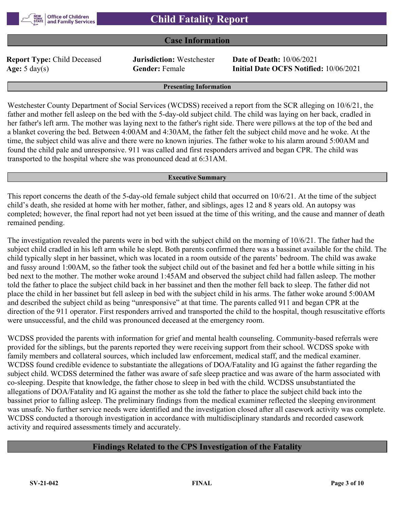### **Case Information**

**Report Type:** Child Deceased **Jurisdiction:** Westchester **Date of Death:** 10/06/2021

**Age:** 5 day(s) **Gender:** Female **Initial Date OCFS Notified:** 10/06/2021

#### **Presenting Information**

Westchester County Department of Social Services (WCDSS) received a report from the SCR alleging on 10/6/21, the father and mother fell asleep on the bed with the 5-day-old subject child. The child was laying on her back, cradled in her father's left arm. The mother was laying next to the father's right side. There were pillows at the top of the bed and a blanket covering the bed. Between 4:00AM and 4:30AM, the father felt the subject child move and he woke. At the time, the subject child was alive and there were no known injuries. The father woke to his alarm around 5:00AM and found the child pale and unresponsive. 911 was called and first responders arrived and began CPR. The child was transported to the hospital where she was pronounced dead at 6:31AM.

#### **Executive Summary**

This report concerns the death of the 5-day-old female subject child that occurred on 10/6/21. At the time of the subject child's death, she resided at home with her mother, father, and siblings, ages 12 and 8 years old. An autopsy was completed; however, the final report had not yet been issued at the time of this writing, and the cause and manner of death remained pending.

The investigation revealed the parents were in bed with the subject child on the morning of 10/6/21. The father had the subject child cradled in his left arm while he slept. Both parents confirmed there was a bassinet available for the child. The child typically slept in her bassinet, which was located in a room outside of the parents' bedroom. The child was awake and fussy around 1:00AM, so the father took the subject child out of the basinet and fed her a bottle while sitting in his bed next to the mother. The mother woke around 1:45AM and observed the subject child had fallen asleep. The mother told the father to place the subject child back in her bassinet and then the mother fell back to sleep. The father did not place the child in her bassinet but fell asleep in bed with the subject child in his arms. The father woke around 5:00AM and described the subject child as being "unresponsive" at that time. The parents called 911 and began CPR at the direction of the 911 operator. First responders arrived and transported the child to the hospital, though resuscitative efforts were unsuccessful, and the child was pronounced deceased at the emergency room.

WCDSS provided the parents with information for grief and mental health counseling. Community-based referrals were provided for the siblings, but the parents reported they were receiving support from their school. WCDSS spoke with family members and collateral sources, which included law enforcement, medical staff, and the medical examiner. WCDSS found credible evidence to substantiate the allegations of DOA/Fatality and IG against the father regarding the subject child. WCDSS determined the father was aware of safe sleep practice and was aware of the harm associated with co-sleeping. Despite that knowledge, the father chose to sleep in bed with the child. WCDSS unsubstantiated the allegations of DOA/Fatality and IG against the mother as she told the father to place the subject child back into the bassinet prior to falling asleep. The preliminary findings from the medical examiner reflected the sleeping environment was unsafe. No further service needs were identified and the investigation closed after all casework activity was complete. WCDSS conducted a thorough investigation in accordance with multidisciplinary standards and recorded casework activity and required assessments timely and accurately.

### **Findings Related to the CPS Investigation of the Fatality**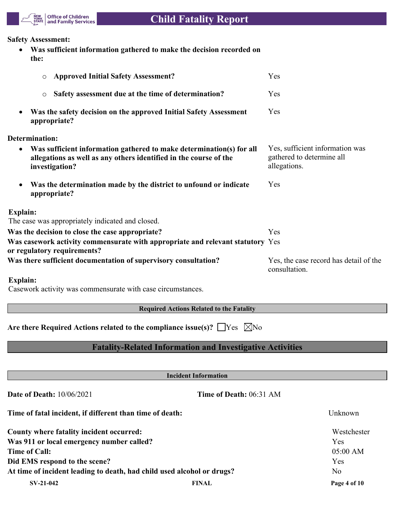

#### **Safety Assessment:**

 **Was sufficient information gathered to make the decision recorded on the:**

| <b>Approved Initial Safety Assessment?</b><br>O                                                                                                             | Yes                                                                          |
|-------------------------------------------------------------------------------------------------------------------------------------------------------------|------------------------------------------------------------------------------|
| Safety assessment due at the time of determination?<br>$\circ$                                                                                              | Yes                                                                          |
| Was the safety decision on the approved Initial Safety Assessment<br>appropriate?                                                                           | Yes                                                                          |
| <b>Determination:</b>                                                                                                                                       |                                                                              |
| Was sufficient information gathered to make determination(s) for all<br>allegations as well as any others identified in the course of the<br>investigation? | Yes, sufficient information was<br>gathered to determine all<br>allegations. |
| Was the determination made by the district to unfound or indicate<br>appropriate?                                                                           | Yes                                                                          |
| Explain:                                                                                                                                                    |                                                                              |
| The case was appropriately indicated and closed.                                                                                                            |                                                                              |
| Was the decision to close the case appropriate?                                                                                                             | Yes                                                                          |
| Was casework activity commensurate with appropriate and relevant statutory Yes<br>or regulatory requirements?                                               |                                                                              |
| Was there sufficient documentation of supervisory consultation?                                                                                             | Yes, the case record has detail of the<br>consultation.                      |
| <b>Explain:</b><br>Casework activity was commensurate with case circumstances.                                                                              |                                                                              |
| <b>Required Actions Related to the Fatality</b>                                                                                                             |                                                                              |
| Are there Required Actions related to the compliance issue(s)? $\Box$ Yes $\Box$ No                                                                         |                                                                              |
| <b>Fatality-Related Information and Investigative Activities</b>                                                                                            |                                                                              |
|                                                                                                                                                             |                                                                              |
| <b>Incident Information</b>                                                                                                                                 |                                                                              |
| <b>Date of Death: 10/06/2021</b><br>Time of Death: 06:31 AM                                                                                                 |                                                                              |

| Time of fatal incident, if different than time of death:               |              | Unknown      |  |  |
|------------------------------------------------------------------------|--------------|--------------|--|--|
| County where fatality incident occurred:                               |              | Westchester  |  |  |
| Was 911 or local emergency number called?                              |              | Yes          |  |  |
| <b>Time of Call:</b>                                                   |              | 05:00 AM     |  |  |
| Did EMS respond to the scene?                                          |              | Yes          |  |  |
| At time of incident leading to death, had child used alcohol or drugs? |              | No           |  |  |
| $SV-21-042$                                                            | <b>FINAL</b> | Page 4 of 10 |  |  |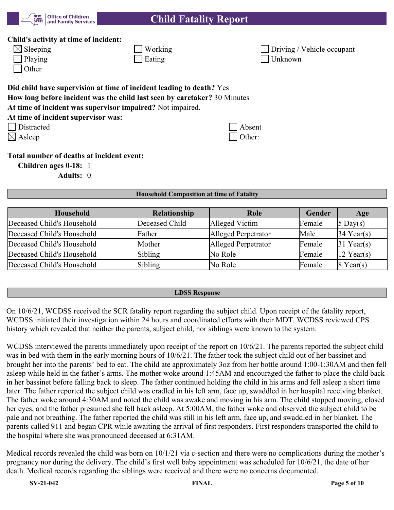

### **Child's activity at time of incident:**

| $\boxtimes$ Sleeping |
|----------------------|
| $\Box$ Playing       |

| Other

| $\boxtimes$ Sleeping | $\sqrt{\frac{1}{1}}$ Working | <b>Driving / Vehicle occupant</b> |
|----------------------|------------------------------|-----------------------------------|
| $\Box$ Playing       | Eating                       | $\mid$ Unknown                    |

# **Did child have supervision at time of incident leading to death?** Yes

**How long before incident was the child last seen by caretaker?** 30 Minutes

**At time of incident was supervisor impaired?** Not impaired.

| At time of incident supervisor was: |  |
|-------------------------------------|--|
|-------------------------------------|--|

 $Distracted$   $\Box$ 

Asleep Other:

# **Total number of deaths at incident event:**

**Children ages 0-18:** 1

**Adults:** 0

### **Household Composition at time of Fatality**

| Household                  | <b>Relationship</b> | <b>Role</b>         | <b>Gender</b> | Age                    |
|----------------------------|---------------------|---------------------|---------------|------------------------|
| Deceased Child's Household | Deceased Child      | Alleged Victim      | Female        | $5 \text{ Day}(s)$     |
| Deceased Child's Household | Father              | Alleged Perpetrator | Male          | $34$ Year(s)           |
| Deceased Child's Household | Mother              | Alleged Perpetrator | Female        | $31$ Year(s)           |
| Deceased Child's Household | Sibling             | No Role             | Female        | $ 12 \text{ Year}(s) $ |
| Deceased Child's Household | Sibling             | No Role             | Female        | $8$ Year(s)            |

### **LDSS Response**

On 10/6/21, WCDSS received the SCR fatality report regarding the subject child. Upon receipt of the fatality report, WCDSS initiated their investigation within 24 hours and coordinated efforts with their MDT. WCDSS reviewed CPS history which revealed that neither the parents, subject child, nor siblings were known to the system.

WCDSS interviewed the parents immediately upon receipt of the report on 10/6/21. The parents reported the subject child was in bed with them in the early morning hours of  $10/6/21$ . The father took the subject child out of her bassinet and brought her into the parents' bed to eat. The child ate approximately 3oz from her bottle around 1:00-1:30AM and then fell asleep while held in the father's arms. The mother woke around 1:45AM and encouraged the father to place the child back in her bassinet before falling back to sleep. The father continued holding the child in his arms and fell asleep a short time later. The father reported the subject child was cradled in his left arm, face up, swaddled in her hospital receiving blanket. The father woke around 4:30AM and noted the child was awake and moving in his arm. The child stopped moving, closed her eyes, and the father presumed she fell back asleep. At 5:00AM, the father woke and observed the subject child to be pale and not breathing. The father reported the child was still in his left arm, face up, and swaddled in her blanket. The parents called 911 and began CPR while awaiting the arrival of first responders. First responders transported the child to the hospital where she was pronounced deceased at 6:31AM.

Medical records revealed the child was born on 10/1/21 via c-section and there were no complications during the mother's pregnancy nor during the delivery. The child's first well baby appointment was scheduled for 10/6/21, the date of her death. Medical records regarding the siblings were received and there were no concerns documented.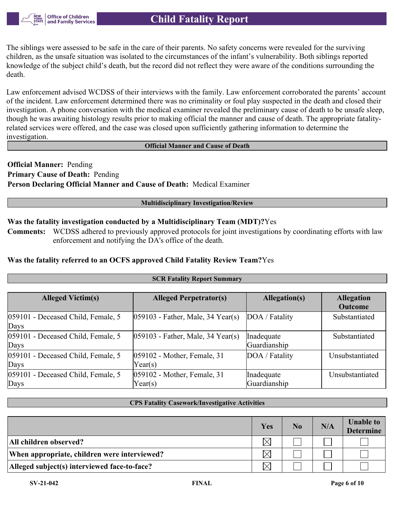

The siblings were assessed to be safe in the care of their parents. No safety concerns were revealed for the surviving children, as the unsafe situation was isolated to the circumstances of the infant's vulnerability. Both siblings reported knowledge of the subject child's death, but the record did not reflect they were aware of the conditions surrounding the death.

Law enforcement advised WCDSS of their interviews with the family. Law enforcement corroborated the parents' account of the incident. Law enforcement determined there was no criminality or foul play suspected in the death and closed their investigation. A phone conversation with the medical examiner revealed the preliminary cause of death to be unsafe sleep, though he was awaiting histology results prior to making official the manner and cause of death. The appropriate fatalityrelated services were offered, and the case was closed upon sufficiently gathering information to determine the investigation.

#### **Official Manner and Cause of Death**

**Official Manner:** Pending **Primary Cause of Death:** Pending **Person Declaring Official Manner and Cause of Death:** Medical Examiner

#### **Multidisciplinary Investigation/Review**

#### **Was the fatality investigation conducted by a Multidisciplinary Team (MDT)?**Yes

**Comments:** WCDSS adhered to previously approved protocols for joint investigations by coordinating efforts with law enforcement and notifying the DA's office of the death.

#### **Was the fatality referred to an OCFS approved Child Fatality Review Team?**Yes

| <b>SCR Fatality Report Summary</b> |                                      |                |                   |  |  |  |
|------------------------------------|--------------------------------------|----------------|-------------------|--|--|--|
|                                    |                                      |                |                   |  |  |  |
| <b>Alleged Victim(s)</b>           | <b>Alleged Perpetrator(s)</b>        | Allegation(s)  | <b>Allegation</b> |  |  |  |
|                                    |                                      |                | <b>Outcome</b>    |  |  |  |
| 059101 - Deceased Child, Female, 5 | $ 059103$ - Father, Male, 34 Year(s) | DOA / Fatality | Substantiated     |  |  |  |
| Days                               |                                      |                |                   |  |  |  |
| 059101 - Deceased Child, Female, 5 | $ 059103$ - Father, Male, 34 Year(s) | Inadequate     | Substantiated     |  |  |  |
| Days                               |                                      | Guardianship   |                   |  |  |  |
| 059101 - Deceased Child, Female, 5 | 059102 - Mother, Female, 31          | DOA / Fatality | Unsubstantiated   |  |  |  |
| Days                               | Year(s)                              |                |                   |  |  |  |
| 059101 - Deceased Child, Female, 5 | 059102 - Mother, Female, 31          | Inadequate     | Unsubstantiated   |  |  |  |
| Days                               | Year(s)                              | Guardianship   |                   |  |  |  |

#### **CPS Fatality Casework/Investigative Activities**

|                                              | Yes      | N <sub>0</sub> | N/A | <b>Unable to</b><br><b>Determine</b> |
|----------------------------------------------|----------|----------------|-----|--------------------------------------|
| All children observed?                       | $\times$ |                |     |                                      |
| When appropriate, children were interviewed? | $\times$ |                |     |                                      |
| Alleged subject(s) interviewed face-to-face? | $\times$ |                |     |                                      |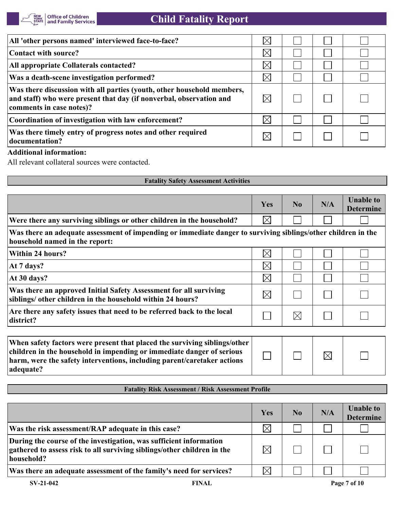

| All 'other persons named' interviewed face-to-face?                                                                                                                       | $\times$    |  |  |
|---------------------------------------------------------------------------------------------------------------------------------------------------------------------------|-------------|--|--|
| Contact with source?                                                                                                                                                      | $\times$    |  |  |
| All appropriate Collaterals contacted?                                                                                                                                    | $\times$    |  |  |
| Was a death-scene investigation performed?                                                                                                                                | $\boxtimes$ |  |  |
| Was there discussion with all parties (youth, other household members,<br>and staff) who were present that day (if nonverbal, observation and<br>comments in case notes)? | $\boxtimes$ |  |  |
| Coordination of investigation with law enforcement?                                                                                                                       | $\boxtimes$ |  |  |
| Was there timely entry of progress notes and other required<br>documentation?                                                                                             |             |  |  |

## **Additional information:**

All relevant collateral sources were contacted.

| <b>Fatality Safety Assessment Activities</b>                                                                                                                                                                                               |             |                |             |                                      |
|--------------------------------------------------------------------------------------------------------------------------------------------------------------------------------------------------------------------------------------------|-------------|----------------|-------------|--------------------------------------|
|                                                                                                                                                                                                                                            |             |                |             |                                      |
|                                                                                                                                                                                                                                            | Yes         | N <sub>0</sub> | N/A         | <b>Unable to</b><br><b>Determine</b> |
| Were there any surviving siblings or other children in the household?                                                                                                                                                                      | $\boxtimes$ |                |             |                                      |
| Was there an adequate assessment of impending or immediate danger to surviving siblings/other children in the<br>household named in the report:                                                                                            |             |                |             |                                      |
| Within 24 hours?                                                                                                                                                                                                                           | $\boxtimes$ |                |             |                                      |
| At 7 days?                                                                                                                                                                                                                                 | $\times$    |                |             |                                      |
| At 30 days?                                                                                                                                                                                                                                | $\boxtimes$ |                |             |                                      |
| Was there an approved Initial Safety Assessment for all surviving<br>siblings/ other children in the household within 24 hours?                                                                                                            | $\boxtimes$ |                |             |                                      |
| Are there any safety issues that need to be referred back to the local<br>district?                                                                                                                                                        |             | $\boxtimes$    |             |                                      |
|                                                                                                                                                                                                                                            |             |                |             |                                      |
| When safety factors were present that placed the surviving siblings/other<br>children in the household in impending or immediate danger of serious<br>harm, were the safety interventions, including parent/caretaker actions<br>adequate? |             |                | $\boxtimes$ |                                      |

#### **Fatality Risk Assessment / Risk Assessment Profile**

|                                                                                                                                                             | Yes         | N <sub>0</sub> | N/A | <b>Unable to</b><br><b>Determine</b> |
|-------------------------------------------------------------------------------------------------------------------------------------------------------------|-------------|----------------|-----|--------------------------------------|
| Was the risk assessment/RAP adequate in this case?                                                                                                          | $\times$    |                |     |                                      |
| During the course of the investigation, was sufficient information<br>gathered to assess risk to all surviving siblings/other children in the<br>household? | $\boxtimes$ |                |     |                                      |
| Was there an adequate assessment of the family's need for services?                                                                                         | $\boxtimes$ |                |     |                                      |
| $SV-21-042$<br><b>FINAL</b>                                                                                                                                 |             |                |     | Page 7 of 10                         |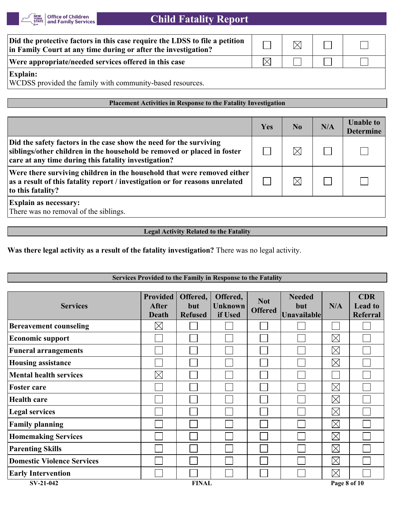

| Did the protective factors in this case require the LDSS to file a petition<br>in Family Court at any time during or after the investigation? | $\boxtimes$ |  |
|-----------------------------------------------------------------------------------------------------------------------------------------------|-------------|--|
| Were appropriate/needed services offered in this case                                                                                         |             |  |
| <b>Explain:</b><br>WCDSS provided the family with community-based resources.                                                                  |             |  |

#### **Placement Activities in Response to the Fatality Investigation**

|                                                                                                                                                                                                       | Yes | No          | N/A | <b>Unable to</b><br><b>Determine</b> |
|-------------------------------------------------------------------------------------------------------------------------------------------------------------------------------------------------------|-----|-------------|-----|--------------------------------------|
| Did the safety factors in the case show the need for the surviving<br>siblings/other children in the household be removed or placed in foster<br>care at any time during this fatality investigation? |     | $\boxtimes$ |     |                                      |
| Were there surviving children in the household that were removed either<br>as a result of this fatality report / investigation or for reasons unrelated<br>to this fatality?                          |     |             |     |                                      |
| <b>Explain as necessary:</b><br>There was no removal of the siblings.                                                                                                                                 |     |             |     |                                      |

**Legal Activity Related to the Fatality**

**Was there legal activity as a result of the fatality investigation?** There was no legal activity.

| Services Provided to the Family in Response to the Fatality |                                          |                                   |                                       |                              |                                            |              |                                                 |
|-------------------------------------------------------------|------------------------------------------|-----------------------------------|---------------------------------------|------------------------------|--------------------------------------------|--------------|-------------------------------------------------|
| <b>Services</b>                                             | <b>Provided</b><br><b>After</b><br>Death | Offered,<br>but<br><b>Refused</b> | Offered,<br><b>Unknown</b><br>if Used | <b>Not</b><br><b>Offered</b> | <b>Needed</b><br>but<br><b>Unavailable</b> | N/A          | <b>CDR</b><br><b>Lead to</b><br><b>Referral</b> |
| <b>Bereavement counseling</b>                               | $\boxtimes$                              |                                   |                                       |                              |                                            |              |                                                 |
| <b>Economic support</b>                                     |                                          |                                   |                                       |                              |                                            | $\boxtimes$  |                                                 |
| <b>Funeral arrangements</b>                                 |                                          |                                   |                                       |                              |                                            | $\boxtimes$  |                                                 |
| <b>Housing assistance</b>                                   |                                          |                                   |                                       |                              |                                            | $\boxtimes$  |                                                 |
| <b>Mental health services</b>                               | $\times$                                 |                                   |                                       |                              |                                            |              |                                                 |
| <b>Foster care</b>                                          |                                          |                                   |                                       |                              |                                            | $\boxtimes$  |                                                 |
| <b>Health care</b>                                          |                                          |                                   |                                       |                              |                                            | $\boxtimes$  |                                                 |
| <b>Legal services</b>                                       |                                          |                                   |                                       |                              |                                            | $\boxtimes$  |                                                 |
| <b>Family planning</b>                                      |                                          |                                   |                                       |                              |                                            | $\boxtimes$  |                                                 |
| <b>Homemaking Services</b>                                  |                                          |                                   |                                       |                              |                                            | $\boxtimes$  |                                                 |
| <b>Parenting Skills</b>                                     |                                          |                                   |                                       |                              |                                            | $\boxtimes$  |                                                 |
| <b>Domestic Violence Services</b>                           |                                          |                                   |                                       |                              |                                            | $\boxtimes$  |                                                 |
| <b>Early Intervention</b>                                   |                                          |                                   |                                       |                              |                                            | $\boxtimes$  |                                                 |
| SV-21-042                                                   |                                          | <b>FINAL</b>                      |                                       |                              |                                            | Page 8 of 10 |                                                 |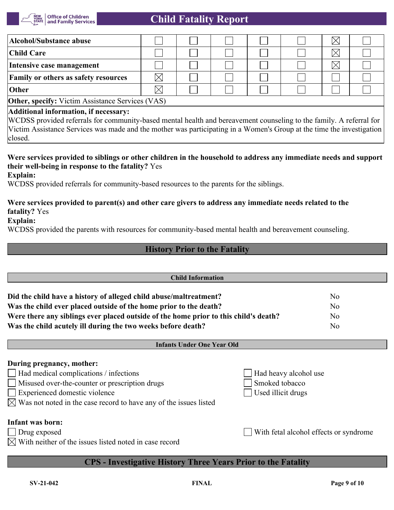

| Alcohol/Substance abuse                                                                                             |  |  |  |  |  | $\times$ |  |
|---------------------------------------------------------------------------------------------------------------------|--|--|--|--|--|----------|--|
| Child Care                                                                                                          |  |  |  |  |  | $\times$ |  |
| Intensive case management                                                                                           |  |  |  |  |  | $\times$ |  |
| <b>Family or others as safety resources</b>                                                                         |  |  |  |  |  |          |  |
| Other                                                                                                               |  |  |  |  |  |          |  |
| <b>Other, specify:</b> Victim Assistance Services (VAS)                                                             |  |  |  |  |  |          |  |
| Additional information, if necessary:                                                                               |  |  |  |  |  |          |  |
| WCDSS provided referrals for community-based mental health and bereavement counseling to the family. A referral for |  |  |  |  |  |          |  |

Victim Assistance Services was made and the mother was participating in a Women's Group at the time the investigation closed.

# **Were services provided to siblings or other children in the household to address any immediate needs and support their well-being in response to the fatality?** Yes

**Explain:**

WCDSS provided referrals for community-based resources to the parents for the siblings.

## **Were services provided to parent(s) and other care givers to address any immediate needs related to the fatality?** Yes

### **Explain:**

WCDSS provided the parents with resources for community-based mental health and bereavement counseling.

## **History Prior to the Fatality**

| <b>Child Information</b>                                                             |                                        |                |  |  |  |  |  |  |
|--------------------------------------------------------------------------------------|----------------------------------------|----------------|--|--|--|--|--|--|
| Did the child have a history of alleged child abuse/maltreatment?                    |                                        | N <sub>0</sub> |  |  |  |  |  |  |
| Was the child ever placed outside of the home prior to the death?                    |                                        | N <sub>0</sub> |  |  |  |  |  |  |
| Were there any siblings ever placed outside of the home prior to this child's death? | N <sub>o</sub>                         |                |  |  |  |  |  |  |
| Was the child acutely ill during the two weeks before death?                         | N <sub>o</sub>                         |                |  |  |  |  |  |  |
|                                                                                      | <b>Infants Under One Year Old</b>      |                |  |  |  |  |  |  |
| During pregnancy, mother:                                                            |                                        |                |  |  |  |  |  |  |
| Had medical complications / infections                                               | Had heavy alcohol use                  |                |  |  |  |  |  |  |
| Misused over-the-counter or prescription drugs                                       | Smoked tobacco                         |                |  |  |  |  |  |  |
| Experienced domestic violence                                                        | Used illicit drugs                     |                |  |  |  |  |  |  |
| $\boxtimes$ Was not noted in the case record to have any of the issues listed        |                                        |                |  |  |  |  |  |  |
| <b>Infant was born:</b>                                                              |                                        |                |  |  |  |  |  |  |
| Drug exposed                                                                         | With fetal alcohol effects or syndrome |                |  |  |  |  |  |  |
| With neither of the issues listed noted in case record                               |                                        |                |  |  |  |  |  |  |
|                                                                                      |                                        |                |  |  |  |  |  |  |